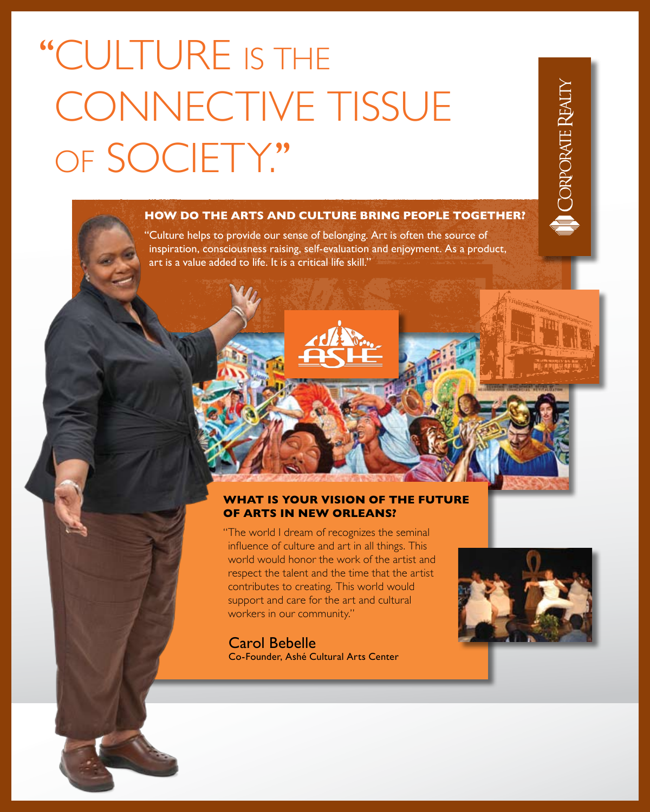# ''Culture is the CONNECTIVE TISSUE OF SOCIETY."

## **How do the arts and culture bring people together?**

"Culture helps to provide our sense of belonging. Art is often the source of inspiration, consciousness raising, self-evaluation and enjoyment. As a product, art is a value added to life. It is a critical life skill."

**CORPORATE REALT** 

### **What is your vision of the future of arts in New Orleans?**

" The world I dream of recognizes the seminal influence of culture and art in all things. This world would honor the work of the artist and respect the talent and the time that the artist contributes to creating. This world would support and care for the art and cultural workers in our community."

#### Carol Bebelle

Co-Founder, Ashé Cultural Arts Center